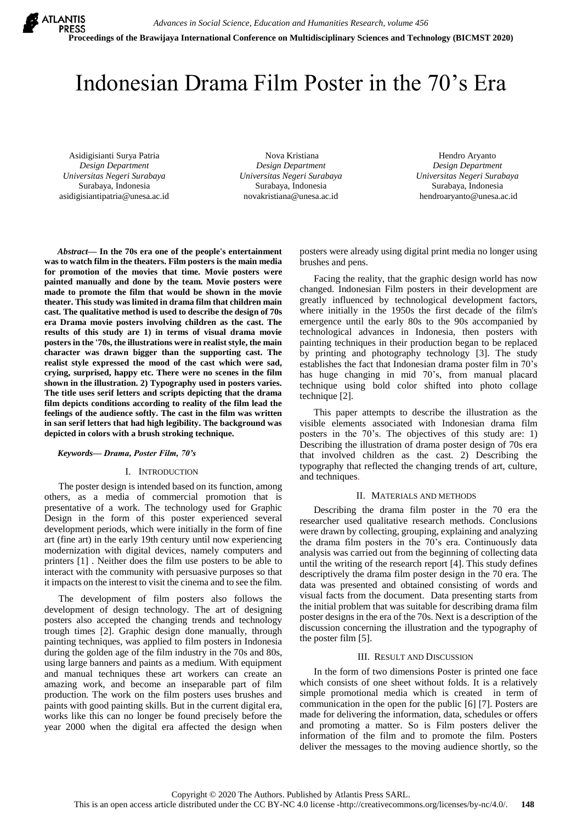

# Indonesian Drama Film Poster in the 70's Era

Asidigisianti Surya Patria *Design Department Universitas Negeri Surabaya* Surabaya, Indonesia asidigisiantipatria@unesa.ac.id

Nova Kristiana *Design Department Universitas Negeri Surabaya* Surabaya, Indonesia novakristiana@unesa.ac.id

Hendro Aryanto *Design Department Universitas Negeri Surabaya* Surabaya, Indonesia hendroaryanto@unesa.ac.id

*Abstract***— In the 70s era one of the people's entertainment was to watch film in the theaters. Film posters is the main media for promotion of the movies that time. Movie posters were painted manually and done by the team. Movie posters were made to promote the film that would be shown in the movie theater. This study was limited in drama film that children main cast. The qualitative method is used to describe the design of 70s era Drama movie posters involving children as the cast. The results of this study are 1) in terms of visual drama movie posters in the '70s, the illustrations were in realist style, the main character was drawn bigger than the supporting cast. The realist style expressed the mood of the cast which were sad, crying, surprised, happy etc. There were no scenes in the film shown in the illustration. 2) Typography used in posters varies. The title uses serif letters and scripts depicting that the drama film depicts conditions according to reality of the film lead the feelings of the audience softly. The cast in the film was written in san serif letters that had high legibility. The background was depicted in colors with a brush stroking technique.**

#### *Keywords— Drama, Poster Film, 70's*

#### I. INTRODUCTION

The poster design is intended based on its function, among others, as a media of commercial promotion that is presentative of a work. The technology used for Graphic Design in the form of this poster experienced several development periods, which were initially in the form of fine art (fine art) in the early 19th century until now experiencing modernization with digital devices, namely computers and printers [1] . Neither does the film use posters to be able to interact with the community with persuasive purposes so that it impacts on the interest to visit the cinema and to see the film.

The development of film posters also follows the development of design technology. The art of designing posters also accepted the changing trends and technology trough times [2]. Graphic design done manually, through painting techniques, was applied to film posters in Indonesia during the golden age of the film industry in the 70s and 80s, using large banners and paints as a medium. With equipment and manual techniques these art workers can create an amazing work, and become an inseparable part of film production. The work on the film posters uses brushes and paints with good painting skills. But in the current digital era, works like this can no longer be found precisely before the year 2000 when the digital era affected the design when posters were already using digital print media no longer using brushes and pens.

Facing the reality, that the graphic design world has now changed. Indonesian Film posters in their development are greatly influenced by technological development factors, where initially in the 1950s the first decade of the film's emergence until the early 80s to the 90s accompanied by technological advances in Indonesia, then posters with painting techniques in their production began to be replaced by printing and photography technology [3]. The study establishes the fact that Indonesian drama poster film in 70's has huge changing in mid 70's, from manual placard technique using bold color shifted into photo collage technique [2].

This paper attempts to describe the illustration as the visible elements associated with Indonesian drama film posters in the 70's. The objectives of this study are: 1) Describing the illustration of drama poster design of 70s era that involved children as the cast. 2) Describing the typography that reflected the changing trends of art, culture, and techniques.

# II. MATERIALS AND METHODS

Describing the drama film poster in the 70 era the researcher used qualitative research methods. Conclusions were drawn by collecting, grouping, explaining and analyzing the drama film posters in the 70's era. Continuously data analysis was carried out from the beginning of collecting data until the writing of the research report [4]. This study defines descriptively the drama film poster design in the 70 era. The data was presented and obtained consisting of words and visual facts from the document. Data presenting starts from the initial problem that was suitable for describing drama film poster designs in the era of the 70s. Next is a description of the discussion concerning the illustration and the typography of the poster film [5].

#### III. RESULT AND DISCUSSION

In the form of two dimensions Poster is printed one face which consists of one sheet without folds. It is a relatively simple promotional media which is created in term of communication in the open for the public [6] [7]. Posters are made for delivering the information, data, schedules or offers and promoting a matter. So is Film posters deliver the information of the film and to promote the film. Posters deliver the messages to the moving audience shortly, so the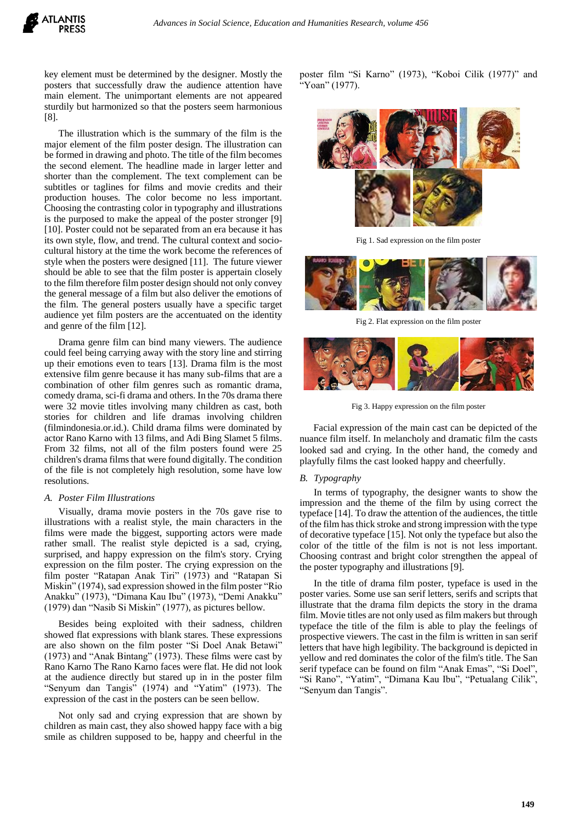key element must be determined by the designer. Mostly the posters that successfully draw the audience attention have main element. The unimportant elements are not appeared sturdily but harmonized so that the posters seem harmonious [8].

The illustration which is the summary of the film is the major element of the film poster design. The illustration can be formed in drawing and photo. The title of the film becomes the second element. The headline made in larger letter and shorter than the complement. The text complement can be subtitles or taglines for films and movie credits and their production houses. The color become no less important. Choosing the contrasting color in typography and illustrations is the purposed to make the appeal of the poster stronger [9] [10]. Poster could not be separated from an era because it has its own style, flow, and trend. The cultural context and sociocultural history at the time the work become the references of style when the posters were designed [11]. The future viewer should be able to see that the film poster is appertain closely to the film therefore film poster design should not only convey the general message of a film but also deliver the emotions of the film. The general posters usually have a specific target audience yet film posters are the accentuated on the identity and genre of the film [12].

Drama genre film can bind many viewers. The audience could feel being carrying away with the story line and stirring up their emotions even to tears [13]. Drama film is the most extensive film genre because it has many sub-films that are a combination of other film genres such as romantic drama, comedy drama, sci-fi drama and others. In the 70s drama there were 32 movie titles involving many children as cast, both stories for children and life dramas involving children (filmindonesia.or.id.). Child drama films were dominated by actor Rano Karno with 13 films, and Adi Bing Slamet 5 films. From 32 films, not all of the film posters found were 25 children's drama films that were found digitally. The condition of the file is not completely high resolution, some have low resolutions.

## *A. Poster Film Illustrations*

Visually, drama movie posters in the 70s gave rise to illustrations with a realist style, the main characters in the films were made the biggest, supporting actors were made rather small. The realist style depicted is a sad, crying, surprised, and happy expression on the film's story. Crying expression on the film poster. The crying expression on the film poster "Ratapan Anak Tiri" (1973) and "Ratapan Si Miskin" (1974), sad expression showed in the film poster "Rio Anakku" (1973), "Dimana Kau Ibu" (1973), "Demi Anakku" (1979) dan "Nasib Si Miskin" (1977), as pictures bellow.

Besides being exploited with their sadness, children showed flat expressions with blank stares. These expressions are also shown on the film poster "Si Doel Anak Betawi" (1973) and "Anak Bintang" (1973). These films were cast by Rano Karno The Rano Karno faces were flat. He did not look at the audience directly but stared up in in the poster film "Senyum dan Tangis" (1974) and "Yatim" (1973). The expression of the cast in the posters can be seen bellow.

Not only sad and crying expression that are shown by children as main cast, they also showed happy face with a big smile as children supposed to be, happy and cheerful in the

poster film "Si Karno" (1973), "Koboi Cilik (1977)" and "Yoan" (1977).



Fig 1. Sad expression on the film poster



Fig 2. Flat expression on the film poster



Fig 3. Happy expression on the film poster

Facial expression of the main cast can be depicted of the nuance film itself. In melancholy and dramatic film the casts looked sad and crying. In the other hand, the comedy and playfully films the cast looked happy and cheerfully.

## *B. Typography*

In terms of typography, the designer wants to show the impression and the theme of the film by using correct the typeface [14]. To draw the attention of the audiences, the tittle of the film has thick stroke and strong impression with the type of decorative typeface [15]. Not only the typeface but also the color of the tittle of the film is not is not less important. Choosing contrast and bright color strengthen the appeal of the poster typography and illustrations [9].

In the title of drama film poster, typeface is used in the poster varies. Some use san serif letters, serifs and scripts that illustrate that the drama film depicts the story in the drama film. Movie titles are not only used as film makers but through typeface the title of the film is able to play the feelings of prospective viewers. The cast in the film is written in san serif letters that have high legibility. The background is depicted in yellow and red dominates the color of the film's title. The San serif typeface can be found on film "Anak Emas", "Si Doel", "Si Rano", "Yatim", "Dimana Kau Ibu", "Petualang Cilik", "Senyum dan Tangis".